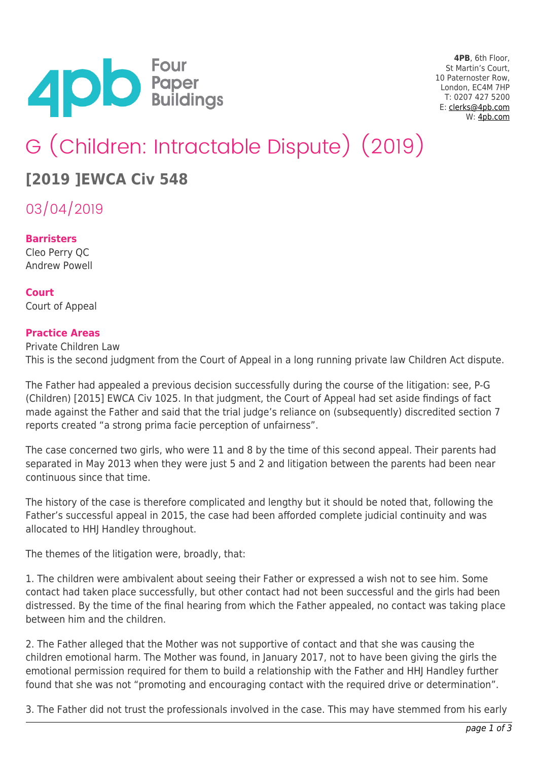

**4PB**, 6th Floor, St Martin's Court, 10 Paternoster Row, London, EC4M 7HP T: 0207 427 5200 E: [clerks@4pb.com](mailto:clerks@4pb.com) W: [4pb.com](http://4pb.com)

# G (Children: Intractable Dispute) (2019)

## **[2019 ]EWCA Civ 548**

03/04/2019

### **Barristers**

Cleo Perry QC Andrew Powell

**Court** Court of Appeal

### **Practice Areas**

Private Children Law This is the second judgment from the Court of Appeal in a long running private law Children Act dispute.

The Father had appealed a previous decision successfully during the course of the litigation: see, P-G (Children) [2015] EWCA Civ 1025. In that judgment, the Court of Appeal had set aside findings of fact made against the Father and said that the trial judge's reliance on (subsequently) discredited section 7 reports created "a strong prima facie perception of unfairness".

The case concerned two girls, who were 11 and 8 by the time of this second appeal. Their parents had separated in May 2013 when they were just 5 and 2 and litigation between the parents had been near continuous since that time.

The history of the case is therefore complicated and lengthy but it should be noted that, following the Father's successful appeal in 2015, the case had been afforded complete judicial continuity and was allocated to HHJ Handley throughout.

The themes of the litigation were, broadly, that:

1. The children were ambivalent about seeing their Father or expressed a wish not to see him. Some contact had taken place successfully, but other contact had not been successful and the girls had been distressed. By the time of the final hearing from which the Father appealed, no contact was taking place between him and the children.

2. The Father alleged that the Mother was not supportive of contact and that she was causing the children emotional harm. The Mother was found, in January 2017, not to have been giving the girls the emotional permission required for them to build a relationship with the Father and HHJ Handley further found that she was not "promoting and encouraging contact with the required drive or determination".

3. The Father did not trust the professionals involved in the case. This may have stemmed from his early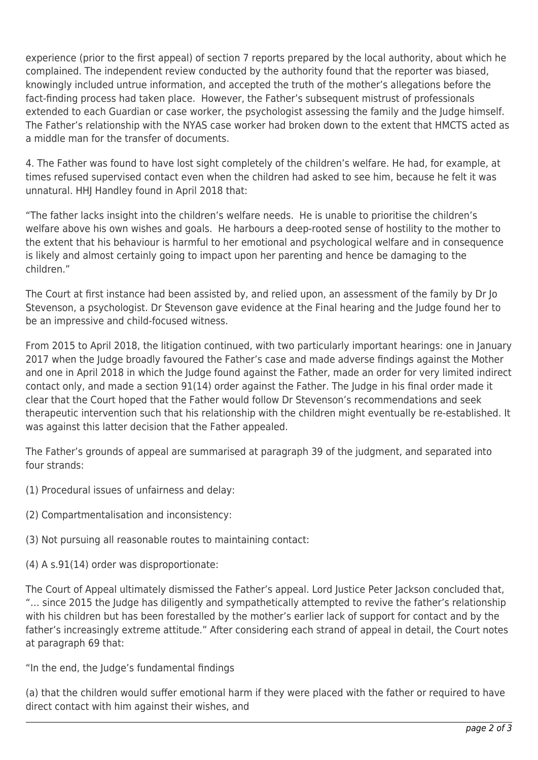experience (prior to the first appeal) of section 7 reports prepared by the local authority, about which he complained. The independent review conducted by the authority found that the reporter was biased, knowingly included untrue information, and accepted the truth of the mother's allegations before the fact-finding process had taken place. However, the Father's subsequent mistrust of professionals extended to each Guardian or case worker, the psychologist assessing the family and the Judge himself. The Father's relationship with the NYAS case worker had broken down to the extent that HMCTS acted as a middle man for the transfer of documents.

4. The Father was found to have lost sight completely of the children's welfare. He had, for example, at times refused supervised contact even when the children had asked to see him, because he felt it was unnatural. HHJ Handley found in April 2018 that:

"The father lacks insight into the children's welfare needs. He is unable to prioritise the children's welfare above his own wishes and goals. He harbours a deep-rooted sense of hostility to the mother to the extent that his behaviour is harmful to her emotional and psychological welfare and in consequence is likely and almost certainly going to impact upon her parenting and hence be damaging to the children."

The Court at first instance had been assisted by, and relied upon, an assessment of the family by Dr Jo Stevenson, a psychologist. Dr Stevenson gave evidence at the Final hearing and the Judge found her to be an impressive and child-focused witness.

From 2015 to April 2018, the litigation continued, with two particularly important hearings: one in January 2017 when the Judge broadly favoured the Father's case and made adverse findings against the Mother and one in April 2018 in which the Judge found against the Father, made an order for very limited indirect contact only, and made a section 91(14) order against the Father. The Judge in his final order made it clear that the Court hoped that the Father would follow Dr Stevenson's recommendations and seek therapeutic intervention such that his relationship with the children might eventually be re-established. It was against this latter decision that the Father appealed.

The Father's grounds of appeal are summarised at paragraph 39 of the judgment, and separated into four strands:

- (1) Procedural issues of unfairness and delay:
- (2) Compartmentalisation and inconsistency:
- (3) Not pursuing all reasonable routes to maintaining contact:
- (4) A s.91(14) order was disproportionate:

The Court of Appeal ultimately dismissed the Father's appeal. Lord Justice Peter Jackson concluded that, "… since 2015 the Judge has diligently and sympathetically attempted to revive the father's relationship with his children but has been forestalled by the mother's earlier lack of support for contact and by the father's increasingly extreme attitude." After considering each strand of appeal in detail, the Court notes at paragraph 69 that:

"In the end, the Judge's fundamental findings

(a) that the children would suffer emotional harm if they were placed with the father or required to have direct contact with him against their wishes, and